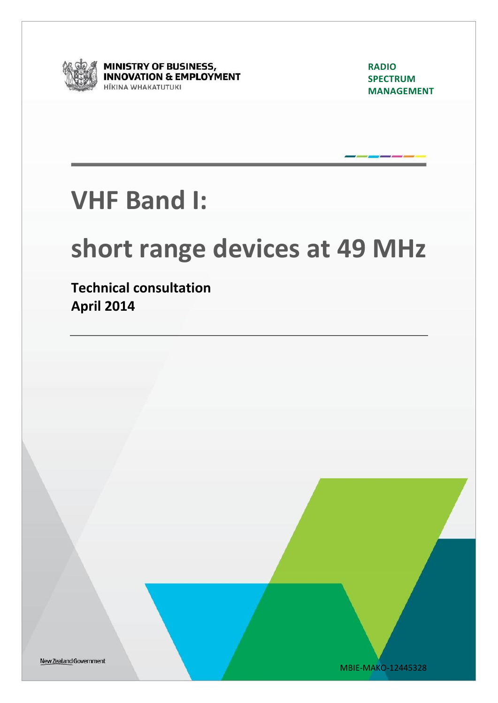

**MINISTRY OF BUSINESS, INNOVATION & EMPLOYMENT** HĪKINA WHAKATUTUKI

**RADIO SPECTRUM MANAGEMENT** 

## **VHF Band I:**

# **short range devices at 49 MHz**

**Technical consultation April 2014**

New Zealand Government

MBIE-MAKO-12445328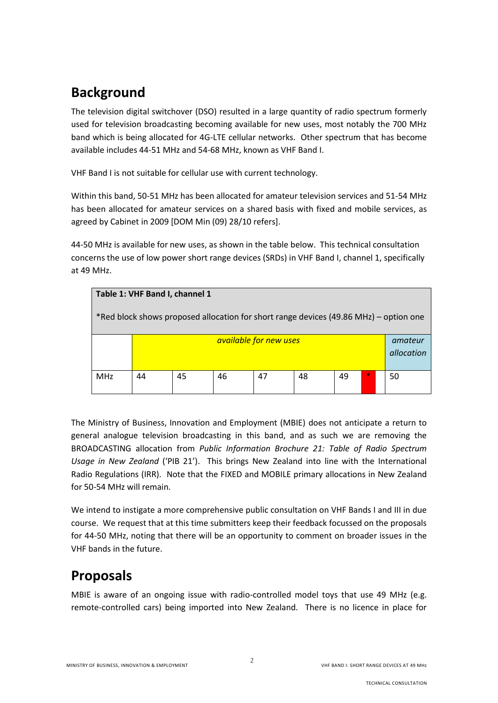### **Background**

The television digital switchover (DSO) resulted in a large quantity of radio spectrum formerly used for television broadcasting becoming available for new uses, most notably the 700 MHz band which is being allocated for 4G-LTE cellular networks. Other spectrum that has become available includes 44-51 MHz and 54-68 MHz, known as VHF Band I.

VHF Band I is not suitable for cellular use with current technology.

Within this band, 50-51 MHz has been allocated for amateur television services and 51-54 MHz has been allocated for amateur services on a shared basis with fixed and mobile services, as agreed by Cabinet in 2009 [DOM Min (09) 28/10 refers].

44-50 MHz is available for new uses, as shown in the table below. This technical consultation concerns the use of low power short range devices (SRDs) in VHF Band I, channel 1, specifically at 49 MHz.

| Table 1: VHF Band I, channel 1                                                        |                        |    |    |    |    |    |  |    |  |  |  |
|---------------------------------------------------------------------------------------|------------------------|----|----|----|----|----|--|----|--|--|--|
| *Red block shows proposed allocation for short range devices (49.86 MHz) – option one |                        |    |    |    |    |    |  |    |  |  |  |
|                                                                                       | available for new uses |    |    |    |    |    |  |    |  |  |  |
| <b>MHz</b>                                                                            | 44                     | 45 | 46 | 47 | 48 | 49 |  | 50 |  |  |  |

The Ministry of Business, Innovation and Employment (MBIE) does not anticipate a return to general analogue television broadcasting in this band, and as such we are removing the BROADCASTING allocation from *Public Information Brochure 21: Table of Radio Spectrum Usage in New Zealand* ('PIB 21'). This brings New Zealand into line with the International Radio Regulations (IRR). Note that the FIXED and MOBILE primary allocations in New Zealand for 50-54 MHz will remain.

We intend to instigate a more comprehensive public consultation on VHF Bands I and III in due course. We request that at this time submitters keep their feedback focussed on the proposals for 44-50 MHz, noting that there will be an opportunity to comment on broader issues in the VHF bands in the future.

#### **Proposals**

MBIE is aware of an ongoing issue with radio-controlled model toys that use 49 MHz (e.g. remote-controlled cars) being imported into New Zealand. There is no licence in place for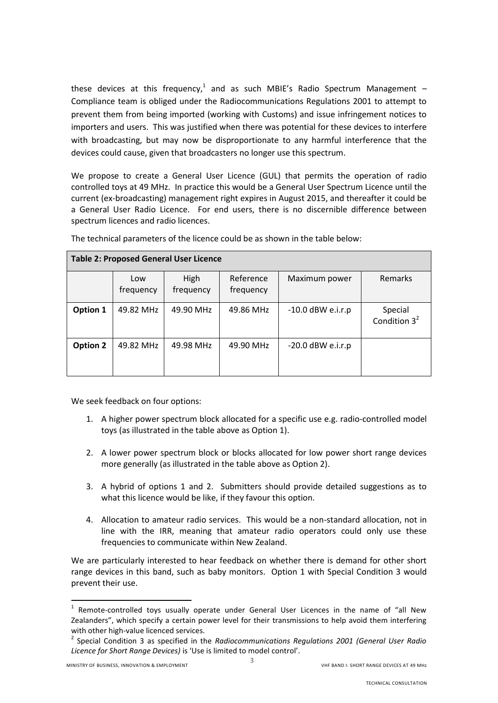these devices at this frequency,<sup>1</sup> and as such MBIE's Radio Spectrum Management -Compliance team is obliged under the Radiocommunications Regulations 2001 to attempt to prevent them from being imported (working with Customs) and issue infringement notices to importers and users. This was justified when there was potential for these devices to interfere with broadcasting, but may now be disproportionate to any harmful interference that the devices could cause, given that broadcasters no longer use this spectrum.

We propose to create a General User Licence (GUL) that permits the operation of radio controlled toys at 49 MHz. In practice this would be a General User Spectrum Licence until the current (ex-broadcasting) management right expires in August 2015, and thereafter it could be a General User Radio Licence. For end users, there is no discernible difference between spectrum licences and radio licences.

| <b>Table 2: Proposed General User Licence</b> |                  |                   |                        |                     |                            |  |  |  |  |  |
|-----------------------------------------------|------------------|-------------------|------------------------|---------------------|----------------------------|--|--|--|--|--|
|                                               | Low<br>frequency | High<br>frequency | Reference<br>frequency | Maximum power       | Remarks                    |  |  |  |  |  |
| Option 1                                      | 49.82 MHz        | 49.90 MHz         | 49.86 MHz              | $-10.0$ dBW e.i.r.p | Special<br>Condition $3^2$ |  |  |  |  |  |
| Option 2                                      | 49.82 MHz        | 49.98 MHz         | 49.90 MHz              | $-20.0$ dBW e.i.r.p |                            |  |  |  |  |  |

The technical parameters of the licence could be as shown in the table below:

We seek feedback on four options:

- 1. A higher power spectrum block allocated for a specific use e.g. radio-controlled model toys (as illustrated in the table above as Option 1).
- 2. A lower power spectrum block or blocks allocated for low power short range devices more generally (as illustrated in the table above as Option 2).
- 3. A hybrid of options 1 and 2. Submitters should provide detailed suggestions as to what this licence would be like, if they favour this option.
- 4. Allocation to amateur radio services. This would be a non-standard allocation, not in line with the IRR, meaning that amateur radio operators could only use these frequencies to communicate within New Zealand.

We are particularly interested to hear feedback on whether there is demand for other short range devices in this band, such as baby monitors. Option 1 with Special Condition 3 would prevent their use.

 1 Remote-controlled toys usually operate under General User Licences in the name of "all New Zealanders", which specify a certain power level for their transmissions to help avoid them interfering with other high-value licenced services.

<sup>2</sup> Special Condition 3 as specified in the *Radiocommunications Regulations 2001 (General User Radio Licence for Short Range Devices)* is 'Use is limited to model control'.